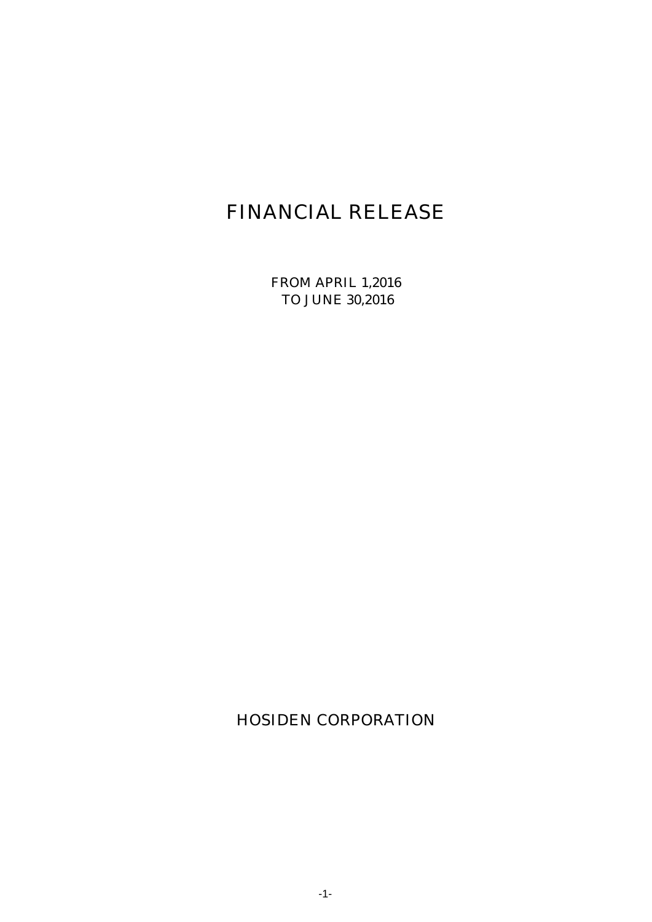# FINANCIAL RELEASE

FROM APRIL 1,2016 TO JUNE 30,2016

HOSIDEN CORPORATION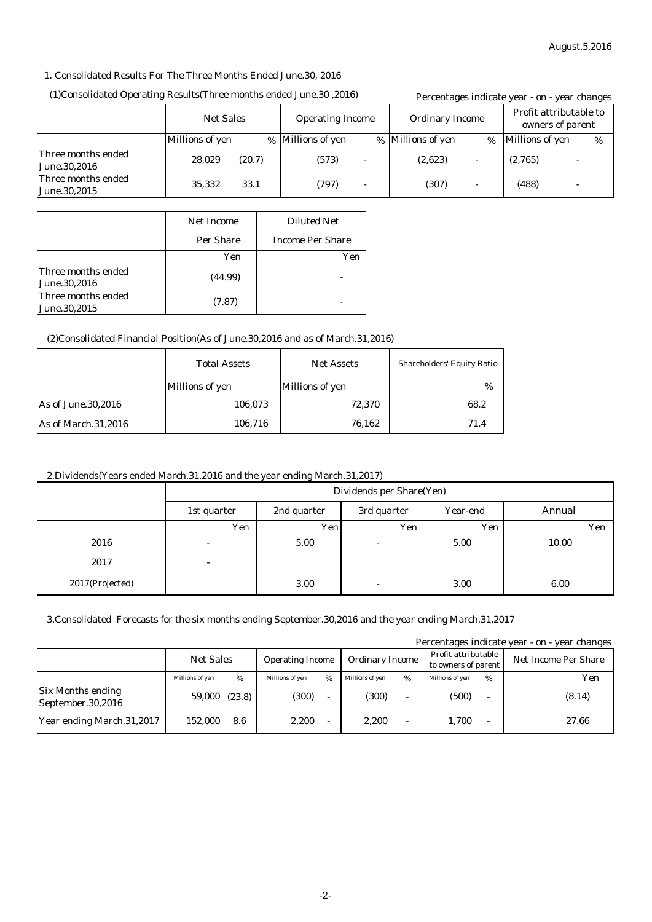#### 1. Consolidated Results For The Three Months Ended June.30, 2016

#### (1)Consolidated Operating Results(Three months ended June.30 ,2016)

| (16) (2016, 2016)Three months ended June.30, 2016 | Percentages indicate year - on - year changes |        |                         |                          |                        |      |                                            |   |
|---------------------------------------------------|-----------------------------------------------|--------|-------------------------|--------------------------|------------------------|------|--------------------------------------------|---|
|                                                   | <b>Net Sales</b>                              |        | <b>Operating Income</b> |                          | <b>Ordinary Income</b> |      | Profit attributable to<br>owners of parent |   |
|                                                   | <b>Millions of yen</b>                        |        | % Millions of yen       |                          | % Millions of yen      | $\%$ | Millions of yen                            | % |
| Three months ended<br><b>June.30,2016</b>         | 28,029                                        | (20.7) | (573)                   | $\overline{\phantom{a}}$ | (2,623)                |      | (2,765)                                    |   |
| Three months ended<br>June.30,2015                | 35.332                                        | 33.1   | (797)                   | $\overline{\phantom{a}}$ | (307)                  |      | (488)                                      |   |

|                                     | Net Income | <b>Diluted Net</b>      |
|-------------------------------------|------------|-------------------------|
|                                     | Per Share  | <b>Income Per Share</b> |
|                                     | Yen        | Yen                     |
| lThree months ended<br>June.30,2016 | (44.99)    |                         |
| Three months ended<br>June.30,2015  | (7.87)     |                         |

#### (2)Consolidated Financial Position(As of June.30,2016 and as of March.31,2016)

|                            | <b>Total Assets</b>    | <b>Net Assets</b>      | <b>Shareholders' Equity Ratio</b> |
|----------------------------|------------------------|------------------------|-----------------------------------|
|                            | <b>Millions of yen</b> | <b>Millions of yen</b> | %                                 |
| As of June.30,2016         | 106,073                | 72,370                 | 68.2                              |
| <b>As of March.31,2016</b> | 106,716                | 76,162                 | 71.4                              |

#### 2.Dividends(Years ended March.31,2016 and the year ending March.31,2017)

|                 | Dividends per Share(Yen) |             |             |          |        |  |
|-----------------|--------------------------|-------------|-------------|----------|--------|--|
|                 | 1st quarter              | 2nd quarter | 3rd quarter | Year-end | Annual |  |
|                 | Yen                      | Yen         | Yen         | Yen      | Yen    |  |
| 2016            | -                        | 5.00        |             | 5.00     | 10.00  |  |
| 2017            | ۰                        |             |             |          |        |  |
| 2017(Projected) |                          | 3.00        | ٠           | 3.00     | 6.00   |  |

### 3.Consolidated Forecasts for the six months ending September.30,2016 and the year ending March.31,2017

Percentages indicate year - on - year changes

|                                               | <b>Net Sales</b> |        | <b>Operating Income</b> |      | <b>Ordinary Income</b> |   | Profit attributable<br>to owners of parent |      | <b>Net Income Per Share</b> |
|-----------------------------------------------|------------------|--------|-------------------------|------|------------------------|---|--------------------------------------------|------|-----------------------------|
|                                               | Millions of yen  | %      | Millions of yen         | $\%$ | Millions of ven        | % | Millions of yen                            | $\%$ | Yen                         |
| <b>Six Months ending</b><br>September.30,2016 | 59,000           | (23.8) | (300)                   |      | (300)                  | - | (500)                                      |      | (8.14)                      |
| Year ending March.31,2017                     | 152.000          | 8.6    | 2.200                   |      | 2,200                  | - | 1.700                                      |      | 27.66                       |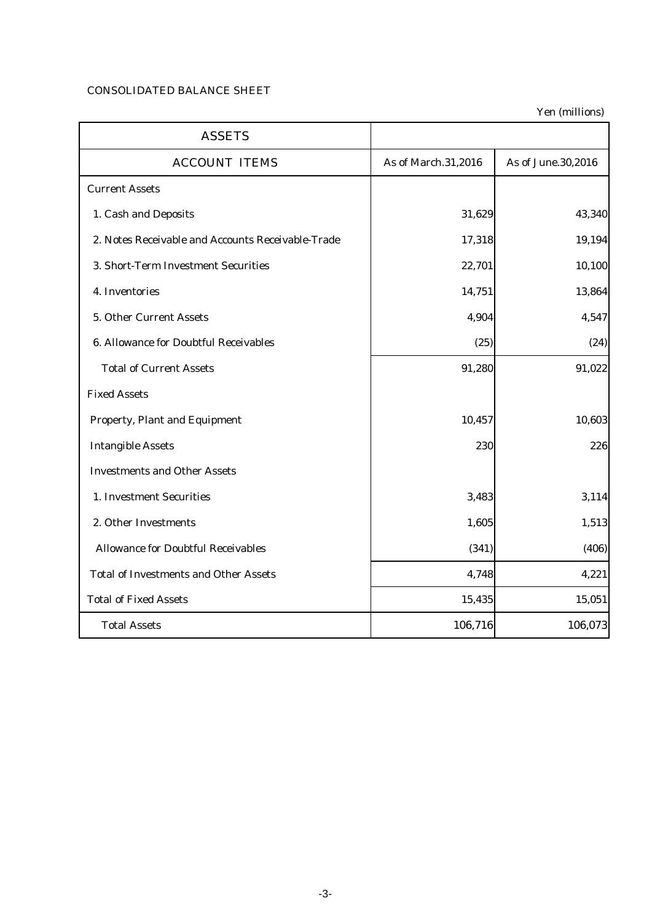# CONSOLIDATED BALANCE SHEET

| <b>ASSETS</b>                                     |                     |                    |
|---------------------------------------------------|---------------------|--------------------|
| <b>ACCOUNT ITEMS</b>                              | As of March.31,2016 | As of June.30,2016 |
| <b>Current Assets</b>                             |                     |                    |
| 1. Cash and Deposits                              | 31,629              | 43,340             |
| 2. Notes Receivable and Accounts Receivable-Trade | 17,318              | 19,194             |
| 3. Short-Term Investment Securities               | 22,701              | 10,100             |
| 4. Inventories                                    | 14,751              | 13,864             |
| 5. Other Current Assets                           | 4,904               | 4,547              |
| 6. Allowance for Doubtful Receivables             | (25)                | (24)               |
| <b>Total of Current Assets</b>                    | 91,280              | 91,022             |
| <b>Fixed Assets</b>                               |                     |                    |
| <b>Property, Plant and Equipment</b>              | 10,457              | 10,603             |
| <b>Intangible Assets</b>                          | 230                 | 226                |
| <b>Investments and Other Assets</b>               |                     |                    |
| 1. Investment Securities                          | 3,483               | 3,114              |
| 2. Other Investments                              | 1,605               | 1,513              |
| <b>Allowance for Doubtful Receivables</b>         | (341)               | (406)              |
| <b>Total of Investments and Other Assets</b>      | 4,748               | 4,221              |
| <b>Total of Fixed Assets</b>                      | 15,435              | 15,051             |
| <b>Total Assets</b>                               | 106,716             | 106,073            |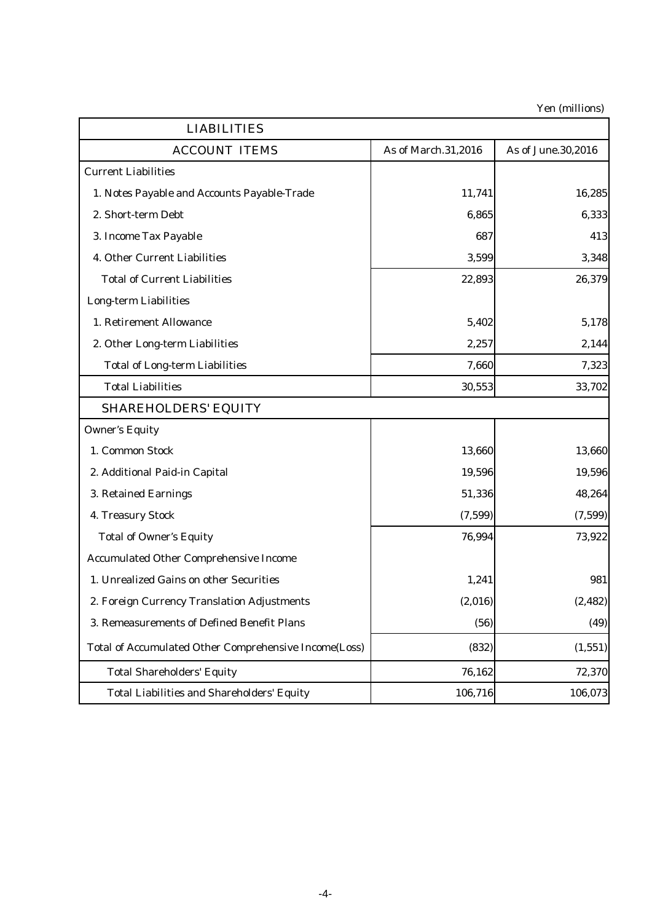| <b>LIABILITIES</b>                                    |                     |                    |
|-------------------------------------------------------|---------------------|--------------------|
| <b>ACCOUNT ITEMS</b>                                  | As of March.31,2016 | As of June.30,2016 |
| <b>Current Liabilities</b>                            |                     |                    |
| 1. Notes Payable and Accounts Payable-Trade           | 11,741              | 16,285             |
| 2. Short-term Debt                                    | 6,865               | 6,333              |
| 3. Income Tax Payable                                 | 687                 | 413                |
| 4. Other Current Liabilities                          | 3,599               | 3,348              |
| <b>Total of Current Liabilities</b>                   | 22,893              | 26,379             |
| <b>Long-term Liabilities</b>                          |                     |                    |
| 1. Retirement Allowance                               | 5,402               | 5,178              |
| 2. Other Long-term Liabilities                        | 2,257               | 2,144              |
| <b>Total of Long-term Liabilities</b>                 | 7,660               | 7,323              |
| <b>Total Liabilities</b>                              | 30,553              | 33,702             |
| <b>SHAREHOLDERS' EQUITY</b>                           |                     |                    |
| <b>Owner's Equity</b>                                 |                     |                    |
| 1. Common Stock                                       | 13,660              | 13,660             |
| 2. Additional Paid-in Capital                         | 19,596              | 19,596             |
| 3. Retained Earnings                                  | 51,336              | 48,264             |
| 4. Treasury Stock                                     | (7,599)             | (7,599)            |
| <b>Total of Owner's Equity</b>                        | 76,994              | 73,922             |
| <b>Accumulated Other Comprehensive Income</b>         |                     |                    |
| 1. Unrealized Gains on other Securities               | 1,241               | 981                |
| 2. Foreign Currency Translation Adjustments           | (2,016)             | (2, 482)           |
| 3. Remeasurements of Defined Benefit Plans            | (56)                | (49)               |
| Total of Accumulated Other Comprehensive Income(Loss) | (832)               | (1, 551)           |
| <b>Total Shareholders' Equity</b>                     | 76,162              | 72,370             |
| <b>Total Liabilities and Shareholders' Equity</b>     | 106,716             | 106,073            |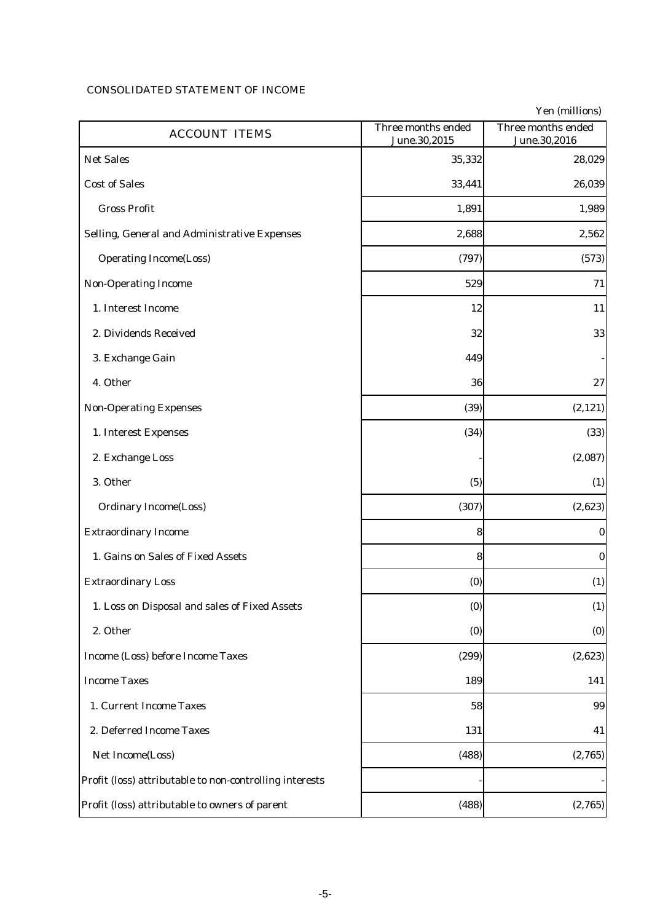## CONSOLIDATED STATEMENT OF INCOME

| <b>ACCOUNT ITEMS</b>                                    | Three months ended<br>June.30,2015 | Three months ended<br>June.30,2016 |
|---------------------------------------------------------|------------------------------------|------------------------------------|
| <b>Net Sales</b>                                        | 35,332                             | 28,029                             |
| <b>Cost of Sales</b>                                    | 33,441                             | 26,039                             |
| <b>Gross Profit</b>                                     | 1,891                              | 1,989                              |
| Selling, General and Administrative Expenses            | 2,688                              | 2,562                              |
| <b>Operating Income(Loss)</b>                           | (797)                              | (573)                              |
| <b>Non-Operating Income</b>                             | 529                                | 71                                 |
| 1. Interest Income                                      | 12                                 | 11                                 |
| 2. Dividends Received                                   | 32                                 | 33                                 |
| 3. Exchange Gain                                        | 449                                |                                    |
| 4. Other                                                | 36                                 | 27                                 |
| <b>Non-Operating Expenses</b>                           | (39)                               | (2, 121)                           |
| 1. Interest Expenses                                    | (34)                               | (33)                               |
| 2. Exchange Loss                                        |                                    | (2,087)                            |
| 3. Other                                                | (5)                                | (1)                                |
| <b>Ordinary Income(Loss)</b>                            | (307)                              | (2,623)                            |
| <b>Extraordinary Income</b>                             | 8                                  | $\bf{0}$                           |
| 1. Gains on Sales of Fixed Assets                       | 8                                  | $\bf{0}$                           |
| <b>Extraordinary Loss</b>                               | (0)                                | (1)                                |
| 1. Loss on Disposal and sales of Fixed Assets           | (0)                                | (1)                                |
| 2. Other                                                | (0)                                | (0)                                |
| Income (Loss) before Income Taxes                       | (299)                              | (2,623)                            |
| <b>Income Taxes</b>                                     | 189                                | 141                                |
| 1. Current Income Taxes                                 | 58                                 | 99                                 |
| 2. Deferred Income Taxes                                | 131                                | 41                                 |
| Net Income(Loss)                                        | (488)                              | (2,765)                            |
| Profit (loss) attributable to non-controlling interests |                                    |                                    |
| Profit (loss) attributable to owners of parent          | (488)                              | (2,765)                            |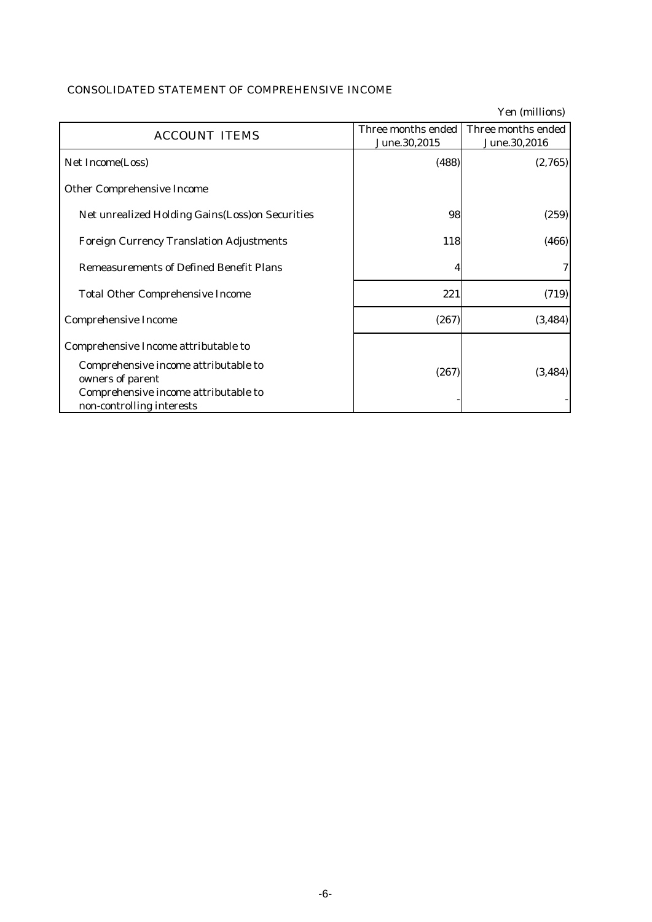# CONSOLIDATED STATEMENT OF COMPREHENSIVE INCOME

|                                                                                                                               |                                    | Yen (millions)                     |
|-------------------------------------------------------------------------------------------------------------------------------|------------------------------------|------------------------------------|
| <b>ACCOUNT ITEMS</b>                                                                                                          | Three months ended<br>June.30,2015 | Three months ended<br>June.30,2016 |
| Net Income(Loss)                                                                                                              | (488)                              | (2,765)                            |
| <b>Other Comprehensive Income</b>                                                                                             |                                    |                                    |
| <b>Net unrealized Holding Gains (Loss) on Securities</b>                                                                      | 98                                 | (259)                              |
| <b>Foreign Currency Translation Adjustments</b>                                                                               | 118                                | (466)                              |
| <b>Remeasurements of Defined Benefit Plans</b>                                                                                | 4                                  |                                    |
| <b>Total Other Comprehensive Income</b>                                                                                       | 221                                | (719)                              |
| <b>Comprehensive Income</b>                                                                                                   | (267)                              | (3, 484)                           |
| Comprehensive Income attributable to                                                                                          |                                    |                                    |
| Comprehensive income attributable to<br>owners of parent<br>Comprehensive income attributable to<br>non-controlling interests | (267)                              | (3, 484)                           |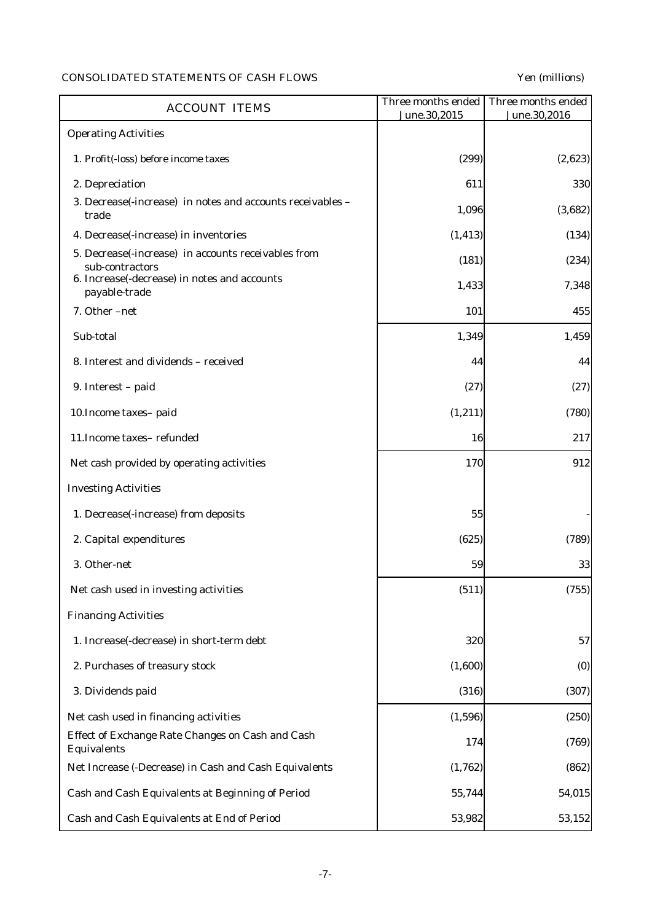# CONSOLIDATED STATEMENTS OF CASH FLOWS Yen (millions)

| <b>ACCOUNT ITEMS</b>                                                   | Three months ended<br>June.30,2015 | Three months ended<br>June.30,2016 |
|------------------------------------------------------------------------|------------------------------------|------------------------------------|
| <b>Operating Activities</b>                                            |                                    |                                    |
| 1. Profit(-loss) before income taxes                                   | (299)                              | (2,623)                            |
| 2. Depreciation                                                        | 611                                | 330                                |
| 3. Decrease(-increase) in notes and accounts receivables -<br>trade    | 1,096                              | (3,682)                            |
| 4. Decrease(-increase) in inventories                                  | (1, 413)                           | (134)                              |
| 5. Decrease(-increase) in accounts receivables from<br>sub-contractors | (181)                              | (234)                              |
| 6. Increase(-decrease) in notes and accounts<br>payable-trade          | 1,433                              | 7,348                              |
| 7. Other -net                                                          | 101                                | 455                                |
| Sub-total                                                              | 1,349                              | 1,459                              |
| 8. Interest and dividends - received                                   | 44                                 | 44                                 |
| 9. Interest - paid                                                     | (27)                               | (27)                               |
| 10. Income taxes-paid                                                  | (1, 211)                           | (780)                              |
| 11. Income taxes-refunded                                              | 16                                 | 217                                |
| Net cash provided by operating activities                              | 170                                | 912                                |
| <b>Investing Activities</b>                                            |                                    |                                    |
| 1. Decrease(-increase) from deposits                                   | 55                                 |                                    |
| 2. Capital expenditures                                                | (625)                              | (789)                              |
| 3. Other-net                                                           | 59                                 | 33                                 |
| Net cash used in investing activities                                  | (511)                              | (755)                              |
| <b>Financing Activities</b>                                            |                                    |                                    |
| 1. Increase(-decrease) in short-term debt                              | 320                                | 57                                 |
| 2. Purchases of treasury stock                                         | (1,600)                            | (0)                                |
| 3. Dividends paid                                                      | (316)                              | (307)                              |
| Net cash used in financing activities                                  | (1, 596)                           | (250)                              |
| Effect of Exchange Rate Changes on Cash and Cash<br><b>Equivalents</b> | 174                                | (769)                              |
| Net Increase (-Decrease) in Cash and Cash Equivalents                  | (1,762)                            | (862)                              |
| Cash and Cash Equivalents at Beginning of Period                       | 55,744                             | 54,015                             |
| Cash and Cash Equivalents at End of Period                             | 53,982                             | 53,152                             |